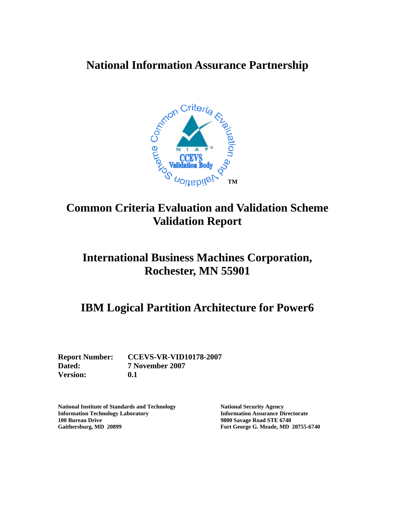# **National Information Assurance Partnership**



# **Common Criteria Evaluation and Validation Scheme Validation Report**

# **International Business Machines Corporation, Rochester, MN 55901**

# **IBM Logical Partition Architecture for Power6**

**Report Number: CCEVS-VR-VID10178-2007 Dated: 7 November 2007 Version: 0.1** 

**National Institute of Standards and Technology National Security Agency Information Technology Laboratory Information Assurance Directorate 100 Bureau Drive 9800 Savage Road STE 6740 Gaithersburg, MD 20899 Fort George G. Meade, MD 20755-6740**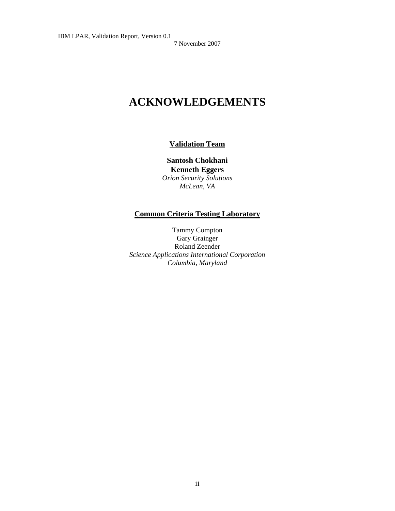# **ACKNOWLEDGEMENTS**

#### **Validation Team**

**Santosh Chokhani Kenneth Eggers**  *Orion Security Solutions McLean, VA*

#### **Common Criteria Testing Laboratory**

Tammy Compton Gary Grainger Roland Zeender *Science Applications International Corporation Columbia, Maryland*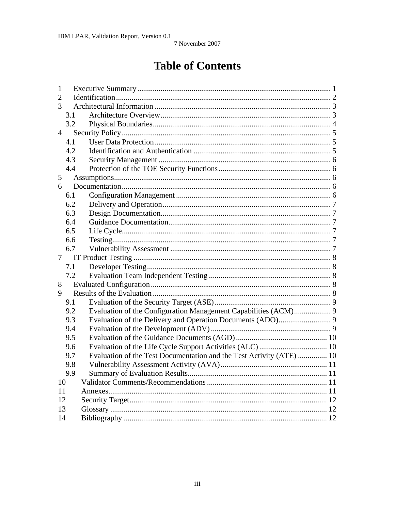# **Table of Contents**

| 1              |     |                                                                      |  |  |
|----------------|-----|----------------------------------------------------------------------|--|--|
| $\overline{2}$ |     |                                                                      |  |  |
| 3              |     |                                                                      |  |  |
|                | 3.1 |                                                                      |  |  |
|                | 3.2 |                                                                      |  |  |
| $\overline{4}$ |     |                                                                      |  |  |
|                | 4.1 |                                                                      |  |  |
|                | 4.2 |                                                                      |  |  |
|                | 4.3 |                                                                      |  |  |
|                | 4.4 |                                                                      |  |  |
| 5              |     |                                                                      |  |  |
| 6              |     |                                                                      |  |  |
|                | 6.1 |                                                                      |  |  |
|                | 6.2 |                                                                      |  |  |
|                | 6.3 |                                                                      |  |  |
|                | 6.4 |                                                                      |  |  |
|                | 6.5 |                                                                      |  |  |
|                | 6.6 |                                                                      |  |  |
|                | 6.7 |                                                                      |  |  |
| 7              |     |                                                                      |  |  |
|                | 7.1 |                                                                      |  |  |
|                | 7.2 |                                                                      |  |  |
| 8              |     |                                                                      |  |  |
| 9              |     |                                                                      |  |  |
|                | 9.1 |                                                                      |  |  |
|                | 9.2 | Evaluation of the Configuration Management Capabilities (ACM) 9      |  |  |
|                | 9.3 |                                                                      |  |  |
|                | 9.4 |                                                                      |  |  |
|                | 9.5 |                                                                      |  |  |
|                | 9.6 |                                                                      |  |  |
|                | 9.7 | Evaluation of the Test Documentation and the Test Activity (ATE)  10 |  |  |
|                |     |                                                                      |  |  |
|                | 9.8 |                                                                      |  |  |
|                | 9.9 |                                                                      |  |  |
| 10             |     |                                                                      |  |  |
| 11             |     |                                                                      |  |  |
| 12             |     |                                                                      |  |  |
| 13<br>14       |     |                                                                      |  |  |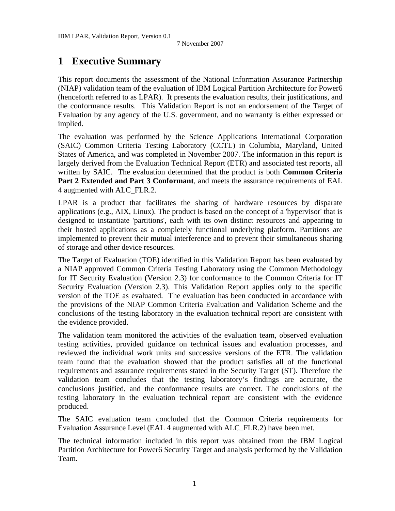# <span id="page-3-0"></span>**1 Executive Summary**

This report documents the assessment of the National Information Assurance Partnership (NIAP) validation team of the evaluation of IBM Logical Partition Architecture for Power6 (henceforth referred to as LPAR). It presents the evaluation results, their justifications, and the conformance results. This Validation Report is not an endorsement of the Target of Evaluation by any agency of the U.S. government, and no warranty is either expressed or implied.

The evaluation was performed by the Science Applications International Corporation (SAIC) Common Criteria Testing Laboratory (CCTL) in Columbia, Maryland, United States of America, and was completed in November 2007. The information in this report is largely derived from the Evaluation Technical Report (ETR) and associated test reports, all written by SAIC. The evaluation determined that the product is both **Common Criteria Part 2 Extended and Part 3 Conformant**, and meets the assurance requirements of EAL 4 augmented with ALC\_FLR.2.

LPAR is a product that facilitates the sharing of hardware resources by disparate applications (e.g., AIX, Linux). The product is based on the concept of a 'hypervisor' that is designed to instantiate 'partitions', each with its own distinct resources and appearing to their hosted applications as a completely functional underlying platform. Partitions are implemented to prevent their mutual interference and to prevent their simultaneous sharing of storage and other device resources.

The Target of Evaluation (TOE) identified in this Validation Report has been evaluated by a NIAP approved Common Criteria Testing Laboratory using the Common Methodology for IT Security Evaluation (Version 2.3) for conformance to the Common Criteria for IT Security Evaluation (Version 2.3). This Validation Report applies only to the specific version of the TOE as evaluated. The evaluation has been conducted in accordance with the provisions of the NIAP Common Criteria Evaluation and Validation Scheme and the conclusions of the testing laboratory in the evaluation technical report are consistent with the evidence provided.

The validation team monitored the activities of the evaluation team, observed evaluation testing activities, provided guidance on technical issues and evaluation processes, and reviewed the individual work units and successive versions of the ETR. The validation team found that the evaluation showed that the product satisfies all of the functional requirements and assurance requirements stated in the Security Target (ST). Therefore the validation team concludes that the testing laboratory's findings are accurate, the conclusions justified, and the conformance results are correct. The conclusions of the testing laboratory in the evaluation technical report are consistent with the evidence produced.

The SAIC evaluation team concluded that the Common Criteria requirements for Evaluation Assurance Level (EAL 4 augmented with ALC\_FLR.2) have been met.

The technical information included in this report was obtained from the IBM Logical Partition Architecture for Power6 Security Target and analysis performed by the Validation Team.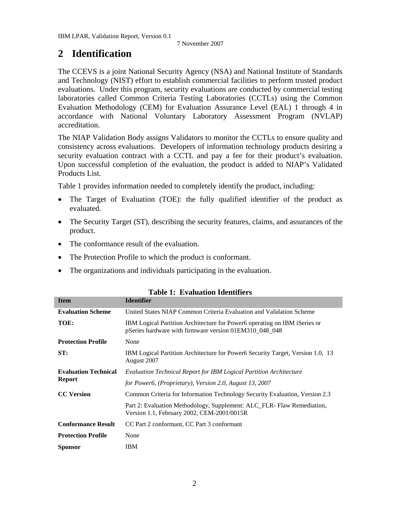## <span id="page-4-0"></span>**2 Identification**

The CCEVS is a joint National Security Agency (NSA) and National Institute of Standards and Technology (NIST) effort to establish commercial facilities to perform trusted product evaluations. Under this program, security evaluations are conducted by commercial testing laboratories called Common Criteria Testing Laboratories (CCTLs) using the Common Evaluation Methodology (CEM) for Evaluation Assurance Level (EAL) 1 through 4 in accordance with National Voluntary Laboratory Assessment Program (NVLAP) accreditation.

The NIAP Validation Body assigns Validators to monitor the CCTLs to ensure quality and consistency across evaluations. Developers of information technology products desiring a security evaluation contract with a CCTL and pay a fee for their product's evaluation. Upon successful completion of the evaluation, the product is added to NIAP's Validated Products List.

Table 1 provides information needed to completely identify the product, including:

- The Target of Evaluation (TOE): the fully qualified identifier of the product as evaluated.
- The Security Target (ST), describing the security features, claims, and assurances of the product.
- The conformance result of the evaluation.
- The Protection Profile to which the product is conformant.
- The organizations and individuals participating in the evaluation.

| <b>Item</b>                 | <b>Identifier</b>                                                                                                                   |
|-----------------------------|-------------------------------------------------------------------------------------------------------------------------------------|
| <b>Evaluation Scheme</b>    | United States NIAP Common Criteria Evaluation and Validation Scheme                                                                 |
| TOE:                        | IBM Logical Partition Architecture for Power6 operating on IBM iSeries or<br>pSeries hardware with firmware version 01EM310_048_048 |
| <b>Protection Profile</b>   | None                                                                                                                                |
| ST:                         | IBM Logical Partition Architecture for Power6 Security Target, Version 1.0, 13<br>August 2007                                       |
| <b>Evaluation Technical</b> | <b>Evaluation Technical Report for IBM Logical Partition Architecture</b>                                                           |
| <b>Report</b>               | for Power6, (Proprietary), Version 2.0, August 13, 2007                                                                             |
| <b>CC</b> Version           | Common Criteria for Information Technology Security Evaluation, Version 2.3                                                         |
|                             | Part 2: Evaluation Methodology, Supplement: ALC_FLR- Flaw Remediation,<br>Version 1.1, February 2002, CEM-2001/0015R                |
| <b>Conformance Result</b>   | CC Part 2 conformant, CC Part 3 conformant                                                                                          |
| <b>Protection Profile</b>   | None                                                                                                                                |
| <b>Sponsor</b>              | <b>IBM</b>                                                                                                                          |

#### **Table 1: Evaluation Identifiers**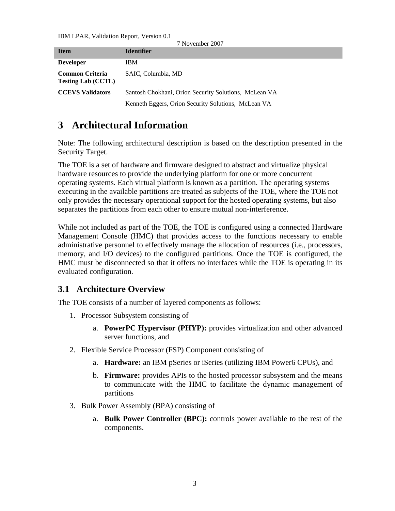<span id="page-5-0"></span>IBM LPAR, Validation Report, Version 0.1

| 7 November 2007                                     |                                                       |  |  |
|-----------------------------------------------------|-------------------------------------------------------|--|--|
| <b>Item</b>                                         | <b>Identifier</b>                                     |  |  |
| <b>Developer</b>                                    | <b>IBM</b>                                            |  |  |
| <b>Common Criteria</b><br><b>Testing Lab (CCTL)</b> | SAIC, Columbia, MD                                    |  |  |
| <b>CCEVS Validators</b>                             | Santosh Chokhani, Orion Security Solutions, McLean VA |  |  |
|                                                     | Kenneth Eggers, Orion Security Solutions, McLean VA   |  |  |

# **3 Architectural Information**

Note: The following architectural description is based on the description presented in the Security Target.

The TOE is a set of hardware and firmware designed to abstract and virtualize physical hardware resources to provide the underlying platform for one or more concurrent operating systems. Each virtual platform is known as a partition. The operating systems executing in the available partitions are treated as subjects of the TOE, where the TOE not only provides the necessary operational support for the hosted operating systems, but also separates the partitions from each other to ensure mutual non-interference.

While not included as part of the TOE, the TOE is configured using a connected Hardware Management Console (HMC) that provides access to the functions necessary to enable administrative personnel to effectively manage the allocation of resources (i.e., processors, memory, and I/O devices) to the configured partitions. Once the TOE is configured, the HMC must be disconnected so that it offers no interfaces while the TOE is operating in its evaluated configuration.

## **3.1 Architecture Overview**

The TOE consists of a number of layered components as follows:

- 1. Processor Subsystem consisting of
	- a. **PowerPC Hypervisor (PHYP):** provides virtualization and other advanced server functions, and
- 2. Flexible Service Processor (FSP) Component consisting of
	- a. **Hardware:** an IBM pSeries or iSeries (utilizing IBM Power6 CPUs), and
	- b. **Firmware:** provides APIs to the hosted processor subsystem and the means to communicate with the HMC to facilitate the dynamic management of partitions
- 3. Bulk Power Assembly (BPA) consisting of
	- a. **Bulk Power Controller (BPC):** controls power available to the rest of the components.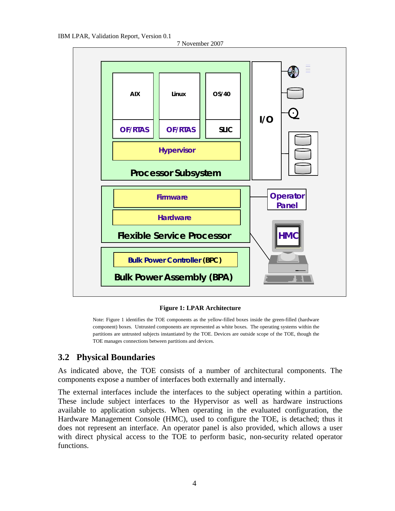<span id="page-6-0"></span>



**Figure 1: LPAR Architecture** 

Note: Figure 1 identifies the TOE components as the yellow-filled boxes inside the green-filled (hardware component) boxes. Untrusted components are represented as white boxes. The operating systems within the partitions are untrusted subjects instantiated by the TOE. Devices are outside scope of the TOE, though the TOE manages connections between partitions and devices.

#### **3.2 Physical Boundaries**

As indicated above, the TOE consists of a number of architectural components. The components expose a number of interfaces both externally and internally.

The external interfaces include the interfaces to the subject operating within a partition. These include subject interfaces to the Hypervisor as well as hardware instructions available to application subjects. When operating in the evaluated configuration, the Hardware Management Console (HMC), used to configure the TOE, is detached; thus it does not represent an interface. An operator panel is also provided, which allows a user with direct physical access to the TOE to perform basic, non-security related operator functions.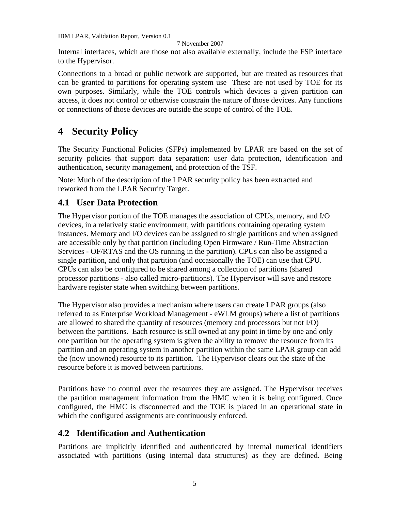#### 7 November 2007

<span id="page-7-0"></span>Internal interfaces, which are those not also available externally, include the FSP interface to the Hypervisor.

Connections to a broad or public network are supported, but are treated as resources that can be granted to partitions for operating system use These are not used by TOE for its own purposes. Similarly, while the TOE controls which devices a given partition can access, it does not control or otherwise constrain the nature of those devices. Any functions or connections of those devices are outside the scope of control of the TOE.

# **4 Security Policy**

The Security Functional Policies (SFPs) implemented by LPAR are based on the set of security policies that support data separation: user data protection, identification and authentication, security management, and protection of the TSF.

Note: Much of the description of the LPAR security policy has been extracted and reworked from the LPAR Security Target.

#### **4.1 User Data Protection**

The Hypervisor portion of the TOE manages the association of CPUs, memory, and I/O devices, in a relatively static environment, with partitions containing operating system instances. Memory and I/O devices can be assigned to single partitions and when assigned are accessible only by that partition (including Open Firmware / Run-Time Abstraction Services - OF/RTAS and the OS running in the partition). CPUs can also be assigned a single partition, and only that partition (and occasionally the TOE) can use that CPU. CPUs can also be configured to be shared among a collection of partitions (shared processor partitions - also called micro-partitions). The Hypervisor will save and restore hardware register state when switching between partitions.

The Hypervisor also provides a mechanism where users can create LPAR groups (also referred to as Enterprise Workload Management - eWLM groups) where a list of partitions are allowed to shared the quantity of resources (memory and processors but not I/O) between the partitions. Each resource is still owned at any point in time by one and only one partition but the operating system is given the ability to remove the resource from its partition and an operating system in another partition within the same LPAR group can add the (now unowned) resource to its partition. The Hypervisor clears out the state of the resource before it is moved between partitions.

Partitions have no control over the resources they are assigned. The Hypervisor receives the partition management information from the HMC when it is being configured. Once configured, the HMC is disconnected and the TOE is placed in an operational state in which the configured assignments are continuously enforced.

#### **4.2 Identification and Authentication**

Partitions are implicitly identified and authenticated by internal numerical identifiers associated with partitions (using internal data structures) as they are defined. Being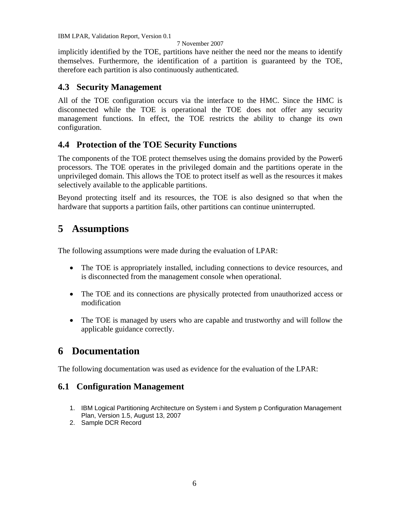#### 7 November 2007

<span id="page-8-0"></span>implicitly identified by the TOE, partitions have neither the need nor the means to identify themselves. Furthermore, the identification of a partition is guaranteed by the TOE, therefore each partition is also continuously authenticated.

### **4.3 Security Management**

All of the TOE configuration occurs via the interface to the HMC. Since the HMC is disconnected while the TOE is operational the TOE does not offer any security management functions. In effect, the TOE restricts the ability to change its own configuration.

## **4.4 Protection of the TOE Security Functions**

The components of the TOE protect themselves using the domains provided by the Power6 processors. The TOE operates in the privileged domain and the partitions operate in the unprivileged domain. This allows the TOE to protect itself as well as the resources it makes selectively available to the applicable partitions.

Beyond protecting itself and its resources, the TOE is also designed so that when the hardware that supports a partition fails, other partitions can continue uninterrupted.

#### **5 Assumptions**

The following assumptions were made during the evaluation of LPAR:

- The TOE is appropriately installed, including connections to device resources, and is disconnected from the management console when operational.
- The TOE and its connections are physically protected from unauthorized access or modification
- The TOE is managed by users who are capable and trustworthy and will follow the applicable guidance correctly.

## **6 Documentation**

The following documentation was used as evidence for the evaluation of the LPAR:

#### **6.1 Configuration Management**

- 1. IBM Logical Partitioning Architecture on System i and System p Configuration Management Plan, Version 1.5, August 13, 2007
- 2. Sample DCR Record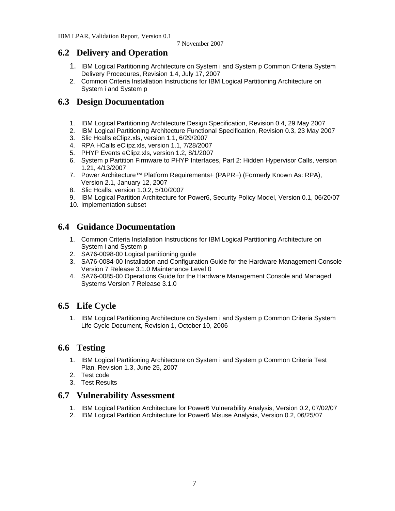#### <span id="page-9-0"></span>**6.2 Delivery and Operation**

- 1. IBM Logical Partitioning Architecture on System i and System p Common Criteria System Delivery Procedures, Revision 1.4, July 17, 2007
- 2. Common Criteria Installation Instructions for IBM Logical Partitioning Architecture on System i and System p

### **6.3 Design Documentation**

- 1. IBM Logical Partitioning Architecture Design Specification, Revision 0.4, 29 May 2007
- 2. IBM Logical Partitioning Architecture Functional Specification, Revision 0.3, 23 May 2007
- 3. Slic Hcalls eClipz.xls, version 1.1, 6/29/2007
- 4. RPA HCalls eClipz.xls, version 1.1, 7/28/2007
- 5. PHYP Events eClipz.xls, version 1.2, 8/1/2007
- 6. System p Partition Firmware to PHYP Interfaces, Part 2: Hidden Hypervisor Calls, version 1.21, 4/13/2007
- 7. Power Architecture™ Platform Requirements+ (PAPR+) (Formerly Known As: RPA), Version 2.1, January 12, 2007
- 8. Slic Hcalls, version 1.0.2, 5/10/2007
- 9. IBM Logical Partition Architecture for Power6, Security Policy Model, Version 0.1, 06/20/07
- 10. Implementation subset

#### **6.4 Guidance Documentation**

- 1. Common Criteria Installation Instructions for IBM Logical Partitioning Architecture on System i and System p
- 2. SA76-0098-00 Logical partitioning guide
- 3. SA76-0084-00 Installation and Configuration Guide for the Hardware Management Console Version 7 Release 3.1.0 Maintenance Level 0
- 4. SA76-0085-00 Operations Guide for the Hardware Management Console and Managed Systems Version 7 Release 3.1.0

## **6.5 Life Cycle**

1. IBM Logical Partitioning Architecture on System i and System p Common Criteria System Life Cycle Document, Revision 1, October 10, 2006

#### **6.6 Testing**

- 1. IBM Logical Partitioning Architecture on System i and System p Common Criteria Test Plan, Revision 1.3, June 25, 2007
- 2. Test code
- 3. Test Results

#### **6.7 Vulnerability Assessment**

- 1. IBM Logical Partition Architecture for Power6 Vulnerability Analysis, Version 0.2, 07/02/07
- 2. IBM Logical Partition Architecture for Power6 Misuse Analysis, Version 0.2, 06/25/07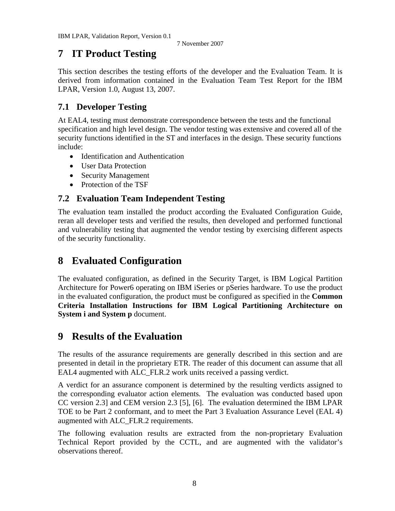#### <span id="page-10-0"></span>**7 IT Product Testing**

This section describes the testing efforts of the developer and the Evaluation Team. It is derived from information contained in the Evaluation Team Test Report for the IBM LPAR, Version 1.0, August 13, 2007.

## **7.1 Developer Testing**

At EAL4, testing must demonstrate correspondence between the tests and the functional specification and high level design. The vendor testing was extensive and covered all of the security functions identified in the ST and interfaces in the design. These security functions include:

- Identification and Authentication
- User Data Protection
- Security Management
- Protection of the TSF

## **7.2 Evaluation Team Independent Testing**

The evaluation team installed the product according the Evaluated Configuration Guide, reran all developer tests and verified the results, then developed and performed functional and vulnerability testing that augmented the vendor testing by exercising different aspects of the security functionality.

#### **8 Evaluated Configuration**

The evaluated configuration, as defined in the Security Target, is IBM Logical Partition Architecture for Power6 operating on IBM iSeries or pSeries hardware. To use the product in the evaluated configuration, the product must be configured as specified in the **Common Criteria Installation Instructions for IBM Logical Partitioning Architecture on System i and System p** document.

#### **9 Results of the Evaluation**

The results of the assurance requirements are generally described in this section and are presented in detail in the proprietary ETR. The reader of this document can assume that all EAL4 augmented with ALC\_FLR.2 work units received a passing verdict.

A verdict for an assurance component is determined by the resulting verdicts assigned to the corresponding evaluator action elements. The evaluation was conducted based upon CC version 2.3] and CEM version 2.3 [5], [6]. The evaluation determined the IBM LPAR TOE to be Part 2 conformant, and to meet the Part 3 Evaluation Assurance Level (EAL 4) augmented with ALC\_FLR.2 requirements.

The following evaluation results are extracted from the non-proprietary Evaluation Technical Report provided by the CCTL, and are augmented with the validator's observations thereof.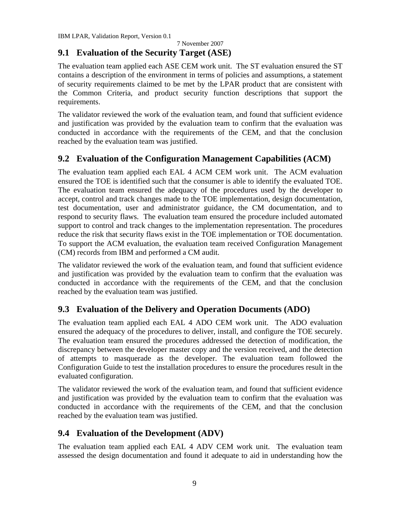7 November 2007

## <span id="page-11-0"></span>**9.1 Evaluation of the Security Target (ASE)**

The evaluation team applied each ASE CEM work unit. The ST evaluation ensured the ST contains a description of the environment in terms of policies and assumptions, a statement of security requirements claimed to be met by the LPAR product that are consistent with the Common Criteria, and product security function descriptions that support the requirements.

The validator reviewed the work of the evaluation team, and found that sufficient evidence and justification was provided by the evaluation team to confirm that the evaluation was conducted in accordance with the requirements of the CEM, and that the conclusion reached by the evaluation team was justified.

## **9.2 Evaluation of the Configuration Management Capabilities (ACM)**

The evaluation team applied each EAL 4 ACM CEM work unit. The ACM evaluation ensured the TOE is identified such that the consumer is able to identify the evaluated TOE. The evaluation team ensured the adequacy of the procedures used by the developer to accept, control and track changes made to the TOE implementation, design documentation, test documentation, user and administrator guidance, the CM documentation, and to respond to security flaws. The evaluation team ensured the procedure included automated support to control and track changes to the implementation representation. The procedures reduce the risk that security flaws exist in the TOE implementation or TOE documentation. To support the ACM evaluation, the evaluation team received Configuration Management (CM) records from IBM and performed a CM audit.

The validator reviewed the work of the evaluation team, and found that sufficient evidence and justification was provided by the evaluation team to confirm that the evaluation was conducted in accordance with the requirements of the CEM, and that the conclusion reached by the evaluation team was justified.

## **9.3 Evaluation of the Delivery and Operation Documents (ADO)**

The evaluation team applied each EAL 4 ADO CEM work unit. The ADO evaluation ensured the adequacy of the procedures to deliver, install, and configure the TOE securely. The evaluation team ensured the procedures addressed the detection of modification, the discrepancy between the developer master copy and the version received, and the detection of attempts to masquerade as the developer. The evaluation team followed the Configuration Guide to test the installation procedures to ensure the procedures result in the evaluated configuration.

The validator reviewed the work of the evaluation team, and found that sufficient evidence and justification was provided by the evaluation team to confirm that the evaluation was conducted in accordance with the requirements of the CEM, and that the conclusion reached by the evaluation team was justified.

## **9.4 Evaluation of the Development (ADV)**

The evaluation team applied each EAL 4 ADV CEM work unit. The evaluation team assessed the design documentation and found it adequate to aid in understanding how the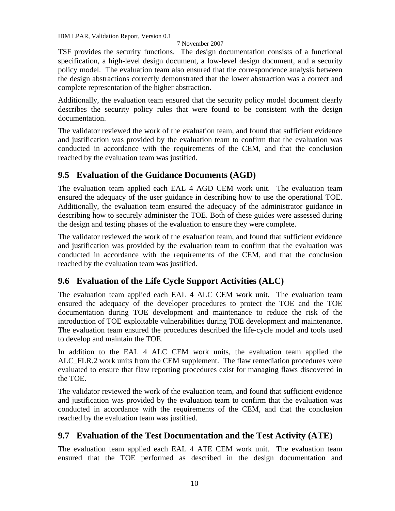#### 7 November 2007

<span id="page-12-0"></span>TSF provides the security functions. The design documentation consists of a functional specification, a high-level design document, a low-level design document, and a security policy model. The evaluation team also ensured that the correspondence analysis between the design abstractions correctly demonstrated that the lower abstraction was a correct and complete representation of the higher abstraction.

Additionally, the evaluation team ensured that the security policy model document clearly describes the security policy rules that were found to be consistent with the design documentation.

The validator reviewed the work of the evaluation team, and found that sufficient evidence and justification was provided by the evaluation team to confirm that the evaluation was conducted in accordance with the requirements of the CEM, and that the conclusion reached by the evaluation team was justified.

#### **9.5 Evaluation of the Guidance Documents (AGD)**

The evaluation team applied each EAL 4 AGD CEM work unit. The evaluation team ensured the adequacy of the user guidance in describing how to use the operational TOE. Additionally, the evaluation team ensured the adequacy of the administrator guidance in describing how to securely administer the TOE. Both of these guides were assessed during the design and testing phases of the evaluation to ensure they were complete.

The validator reviewed the work of the evaluation team, and found that sufficient evidence and justification was provided by the evaluation team to confirm that the evaluation was conducted in accordance with the requirements of the CEM, and that the conclusion reached by the evaluation team was justified.

## **9.6 Evaluation of the Life Cycle Support Activities (ALC)**

The evaluation team applied each EAL 4 ALC CEM work unit. The evaluation team ensured the adequacy of the developer procedures to protect the TOE and the TOE documentation during TOE development and maintenance to reduce the risk of the introduction of TOE exploitable vulnerabilities during TOE development and maintenance. The evaluation team ensured the procedures described the life-cycle model and tools used to develop and maintain the TOE.

In addition to the EAL 4 ALC CEM work units, the evaluation team applied the ALC\_FLR.2 work units from the CEM supplement. The flaw remediation procedures were evaluated to ensure that flaw reporting procedures exist for managing flaws discovered in the TOE.

The validator reviewed the work of the evaluation team, and found that sufficient evidence and justification was provided by the evaluation team to confirm that the evaluation was conducted in accordance with the requirements of the CEM, and that the conclusion reached by the evaluation team was justified.

## **9.7 Evaluation of the Test Documentation and the Test Activity (ATE)**

The evaluation team applied each EAL 4 ATE CEM work unit. The evaluation team ensured that the TOE performed as described in the design documentation and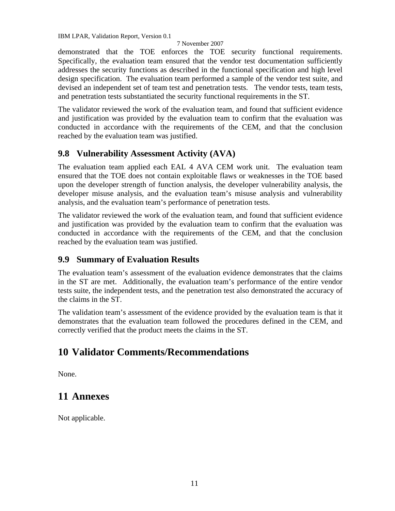#### 7 November 2007

<span id="page-13-0"></span>demonstrated that the TOE enforces the TOE security functional requirements. Specifically, the evaluation team ensured that the vendor test documentation sufficiently addresses the security functions as described in the functional specification and high level design specification. The evaluation team performed a sample of the vendor test suite, and devised an independent set of team test and penetration tests. The vendor tests, team tests, and penetration tests substantiated the security functional requirements in the ST.

The validator reviewed the work of the evaluation team, and found that sufficient evidence and justification was provided by the evaluation team to confirm that the evaluation was conducted in accordance with the requirements of the CEM, and that the conclusion reached by the evaluation team was justified.

#### **9.8 Vulnerability Assessment Activity (AVA)**

The evaluation team applied each EAL 4 AVA CEM work unit. The evaluation team ensured that the TOE does not contain exploitable flaws or weaknesses in the TOE based upon the developer strength of function analysis, the developer vulnerability analysis, the developer misuse analysis, and the evaluation team's misuse analysis and vulnerability analysis, and the evaluation team's performance of penetration tests.

The validator reviewed the work of the evaluation team, and found that sufficient evidence and justification was provided by the evaluation team to confirm that the evaluation was conducted in accordance with the requirements of the CEM, and that the conclusion reached by the evaluation team was justified.

#### **9.9 Summary of Evaluation Results**

The evaluation team's assessment of the evaluation evidence demonstrates that the claims in the ST are met. Additionally, the evaluation team's performance of the entire vendor tests suite, the independent tests, and the penetration test also demonstrated the accuracy of the claims in the ST.

The validation team's assessment of the evidence provided by the evaluation team is that it demonstrates that the evaluation team followed the procedures defined in the CEM, and correctly verified that the product meets the claims in the ST.

## **10 Validator Comments/Recommendations**

None.

## **11 Annexes**

Not applicable.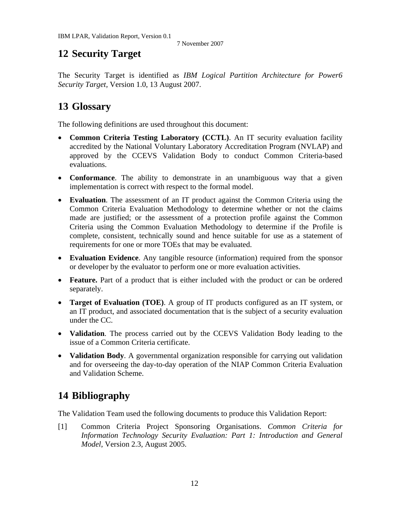# <span id="page-14-0"></span>**12 Security Target**

The Security Target is identified as *IBM Logical Partition Architecture for Power6 Security Target,* Version 1.0, 13 August 2007.

# **13 Glossary**

The following definitions are used throughout this document:

- **Common Criteria Testing Laboratory (CCTL)**. An IT security evaluation facility accredited by the National Voluntary Laboratory Accreditation Program (NVLAP) and approved by the CCEVS Validation Body to conduct Common Criteria-based evaluations.
- **Conformance**. The ability to demonstrate in an unambiguous way that a given implementation is correct with respect to the formal model.
- **Evaluation**. The assessment of an IT product against the Common Criteria using the Common Criteria Evaluation Methodology to determine whether or not the claims made are justified; or the assessment of a protection profile against the Common Criteria using the Common Evaluation Methodology to determine if the Profile is complete, consistent, technically sound and hence suitable for use as a statement of requirements for one or more TOEs that may be evaluated.
- **Evaluation Evidence**. Any tangible resource (information) required from the sponsor or developer by the evaluator to perform one or more evaluation activities.
- **Feature.** Part of a product that is either included with the product or can be ordered separately.
- **Target of Evaluation (TOE)**. A group of IT products configured as an IT system, or an IT product, and associated documentation that is the subject of a security evaluation under the CC.
- **Validation**. The process carried out by the CCEVS Validation Body leading to the issue of a Common Criteria certificate.
- **Validation Body.** A governmental organization responsible for carrying out validation and for overseeing the day-to-day operation of the NIAP Common Criteria Evaluation and Validation Scheme.

# **14 Bibliography**

The Validation Team used the following documents to produce this Validation Report:

[1] Common Criteria Project Sponsoring Organisations. *Common Criteria for Information Technology Security Evaluation: Part 1: Introduction and General Model*, Version 2.3, August 2005.